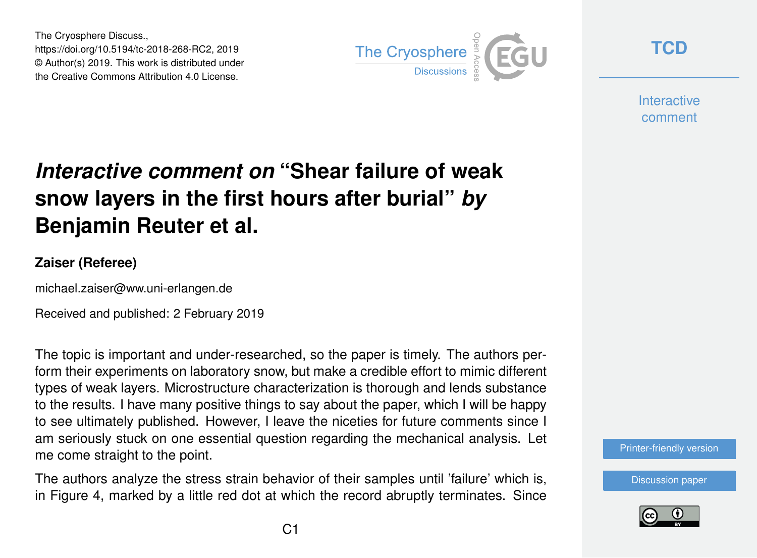The Cryosphere Discuss., https://doi.org/10.5194/tc-2018-268-RC2, 2019 © Author(s) 2019. This work is distributed under the Creative Commons Attribution 4.0 License.



**[TCD](https://www.the-cryosphere-discuss.net/)**

**Interactive** comment

## *Interactive comment on* **"Shear failure of weak snow layers in the first hours after burial"** *by* **Benjamin Reuter et al.**

## **Zaiser (Referee)**

michael.zaiser@ww.uni-erlangen.de

Received and published: 2 February 2019

The topic is important and under-researched, so the paper is timely. The authors perform their experiments on laboratory snow, but make a credible effort to mimic different types of weak layers. Microstructure characterization is thorough and lends substance to the results. I have many positive things to say about the paper, which I will be happy to see ultimately published. However, I leave the niceties for future comments since I am seriously stuck on one essential question regarding the mechanical analysis. Let me come straight to the point.

The authors analyze the stress strain behavior of their samples until 'failure' which is, in Figure 4, marked by a little red dot at which the record abruptly terminates. Since

[Discussion paper](https://www.the-cryosphere-discuss.net/tc-2018-268)

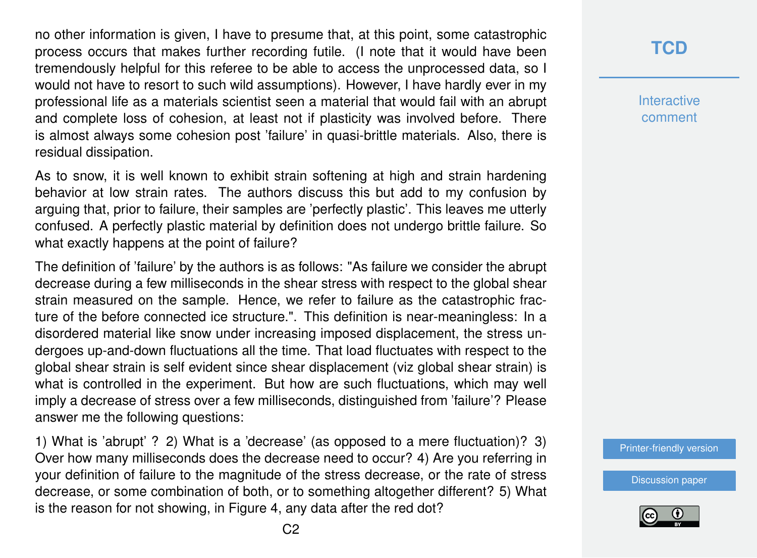no other information is given, I have to presume that, at this point, some catastrophic process occurs that makes further recording futile. (I note that it would have been tremendously helpful for this referee to be able to access the unprocessed data, so I would not have to resort to such wild assumptions). However, I have hardly ever in my professional life as a materials scientist seen a material that would fail with an abrupt and complete loss of cohesion, at least not if plasticity was involved before. There is almost always some cohesion post 'failure' in quasi-brittle materials. Also, there is residual dissipation.

As to snow, it is well known to exhibit strain softening at high and strain hardening behavior at low strain rates. The authors discuss this but add to my confusion by arguing that, prior to failure, their samples are 'perfectly plastic'. This leaves me utterly confused. A perfectly plastic material by definition does not undergo brittle failure. So what exactly happens at the point of failure?

The definition of 'failure' by the authors is as follows: "As failure we consider the abrupt decrease during a few milliseconds in the shear stress with respect to the global shear strain measured on the sample. Hence, we refer to failure as the catastrophic fracture of the before connected ice structure.". This definition is near-meaningless: In a disordered material like snow under increasing imposed displacement, the stress undergoes up-and-down fluctuations all the time. That load fluctuates with respect to the global shear strain is self evident since shear displacement (viz global shear strain) is what is controlled in the experiment. But how are such fluctuations, which may well imply a decrease of stress over a few milliseconds, distinguished from 'failure'? Please answer me the following questions:

1) What is 'abrupt' ? 2) What is a 'decrease' (as opposed to a mere fluctuation)? 3) Over how many milliseconds does the decrease need to occur? 4) Are you referring in your definition of failure to the magnitude of the stress decrease, or the rate of stress decrease, or some combination of both, or to something altogether different? 5) What is the reason for not showing, in Figure 4, any data after the red dot?

**[TCD](https://www.the-cryosphere-discuss.net/)**

**Interactive** comment

[Printer-friendly version](https://www.the-cryosphere-discuss.net/tc-2018-268/tc-2018-268-RC2-print.pdf)

[Discussion paper](https://www.the-cryosphere-discuss.net/tc-2018-268)